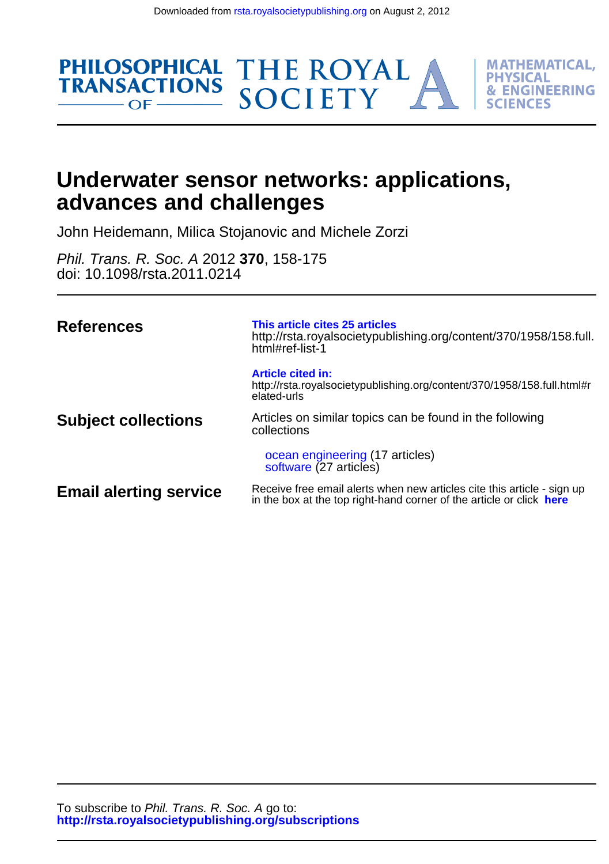

# **advances and challenges Underwater sensor networks: applications,**

John Heidemann, Milica Stojanovic and Michele Zorzi

doi: 10.1098/rsta.2011.0214 Phil. Trans. R. Soc. A 2012 **370**, 158-175

| <b>References</b>             | This article cites 25 articles<br>http://rsta.royalsocietypublishing.org/content/370/1958/158.full.<br>html#ref-list-1                          |
|-------------------------------|-------------------------------------------------------------------------------------------------------------------------------------------------|
|                               | <b>Article cited in:</b><br>http://rsta.royalsocietypublishing.org/content/370/1958/158.full.html#r<br>elated-urls                              |
| <b>Subject collections</b>    | Articles on similar topics can be found in the following<br>collections                                                                         |
|                               | ocean engineering (17 articles)<br>software (27 articles)                                                                                       |
| <b>Email alerting service</b> | Receive free email alerts when new articles cite this article - sign up<br>in the box at the top right-hand corner of the article or click here |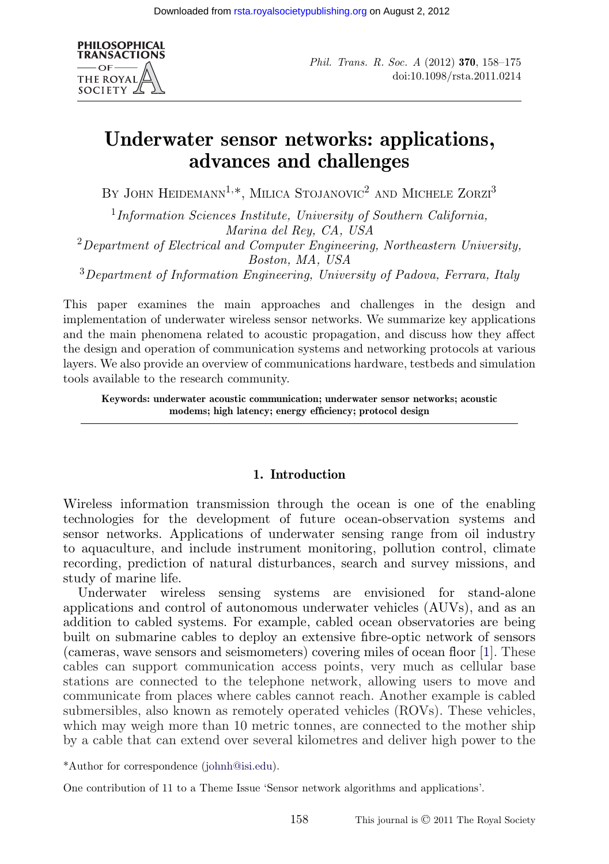

# **Underwater sensor networks: applications, advances and challenges**

BY JOHN HEIDEMANN<sup>1,\*</sup>, MILICA STOJANOVIC<sup>2</sup> AND MICHELE ZORZI<sup>3</sup>

<sup>1</sup>*Information Sciences Institute, University of Southern California, Marina del Rey, CA, USA* <sup>2</sup>*Department of Electrical and Computer Engineering, Northeastern University, Boston, MA, USA* <sup>3</sup>*Department of Information Engineering, University of Padova, Ferrara, Italy*

This paper examines the main approaches and challenges in the design and implementation of underwater wireless sensor networks. We summarize key applications and the main phenomena related to acoustic propagation, and discuss how they affect the design and operation of communication systems and networking protocols at various layers. We also provide an overview of communications hardware, testbeds and simulation tools available to the research community.

**Keywords: underwater acoustic communication; underwater sensor networks; acoustic modems; high latency; energy efficiency; protocol design**

# **1. Introduction**

Wireless information transmission through the ocean is one of the enabling technologies for the development of future ocean-observation systems and sensor networks. Applications of underwater sensing range from oil industry to aquaculture, and include instrument monitoring, pollution control, climate recording, prediction of natural disturbances, search and survey missions, and study of marine life.

Underwater wireless sensing systems are envisioned for stand-alone applications and control of autonomous underwater vehicles (AUVs), and as an addition to cabled systems. For example, cabled ocean observatories are being built on submarine cables to deploy an extensive fibre-optic network of sensors (cameras, wave sensors and seismometers) covering miles of ocean floor [\[1\]](#page-16-0). These cables can support communication access points, very much as cellular base stations are connected to the telephone network, allowing users to move and communicate from places where cables cannot reach. Another example is cabled submersibles, also known as remotely operated vehicles (ROVs). These vehicles, which may weigh more than 10 metric tonnes, are connected to the mother ship by a cable that can extend over several kilometres and deliver high power to the

\*Author for correspondence [\(johnh@isi.edu\)](mailto:johnh@isi.edu).

One contribution of 11 to a Theme Issue 'Sensor network algorithms and applications'.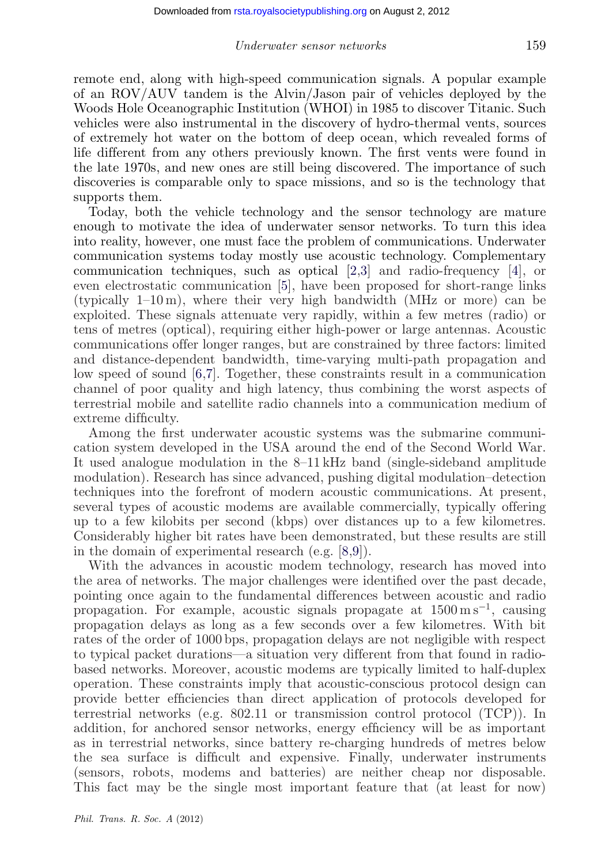remote end, along with high-speed communication signals. A popular example of an ROV/AUV tandem is the Alvin/Jason pair of vehicles deployed by the Woods Hole Oceanographic Institution (WHOI) in 1985 to discover Titanic. Such vehicles were also instrumental in the discovery of hydro-thermal vents, sources of extremely hot water on the bottom of deep ocean, which revealed forms of life different from any others previously known. The first vents were found in the late 1970s, and new ones are still being discovered. The importance of such discoveries is comparable only to space missions, and so is the technology that supports them.

Today, both the vehicle technology and the sensor technology are mature enough to motivate the idea of underwater sensor networks. To turn this idea into reality, however, one must face the problem of communications. Underwater communication systems today mostly use acoustic technology. Complementary communication techniques, such as optical [\[2,3\]](#page-16-0) and radio-frequency [\[4\]](#page-16-0), or even electrostatic communication [\[5\]](#page-16-0), have been proposed for short-range links (typically 1–10 m), where their very high bandwidth (MHz or more) can be exploited. These signals attenuate very rapidly, within a few metres (radio) or tens of metres (optical), requiring either high-power or large antennas. Acoustic communications offer longer ranges, but are constrained by three factors: limited and distance-dependent bandwidth, time-varying multi-path propagation and low speed of sound [\[6,7\]](#page-16-0). Together, these constraints result in a communication channel of poor quality and high latency, thus combining the worst aspects of terrestrial mobile and satellite radio channels into a communication medium of extreme difficulty.

Among the first underwater acoustic systems was the submarine communication system developed in the USA around the end of the Second World War. It used analogue modulation in the 8–11 kHz band (single-sideband amplitude modulation). Research has since advanced, pushing digital modulation–detection techniques into the forefront of modern acoustic communications. At present, several types of acoustic modems are available commercially, typically offering up to a few kilobits per second (kbps) over distances up to a few kilometres. Considerably higher bit rates have been demonstrated, but these results are still in the domain of experimental research (e.g. [\[8,9\]](#page-16-0)).

With the advances in acoustic modem technology, research has moved into the area of networks. The major challenges were identified over the past decade, pointing once again to the fundamental differences between acoustic and radio propagation. For example, acoustic signals propagate at  $1500 \,\mathrm{m\,s^{-1}}$ , causing propagation delays as long as a few seconds over a few kilometres. With bit rates of the order of 1000 bps, propagation delays are not negligible with respect to typical packet durations—a situation very different from that found in radiobased networks. Moreover, acoustic modems are typically limited to half-duplex operation. These constraints imply that acoustic-conscious protocol design can provide better efficiencies than direct application of protocols developed for terrestrial networks (e.g. 802.11 or transmission control protocol (TCP)). In addition, for anchored sensor networks, energy efficiency will be as important as in terrestrial networks, since battery re-charging hundreds of metres below the sea surface is difficult and expensive. Finally, underwater instruments (sensors, robots, modems and batteries) are neither cheap nor disposable. This fact may be the single most important feature that (at least for now)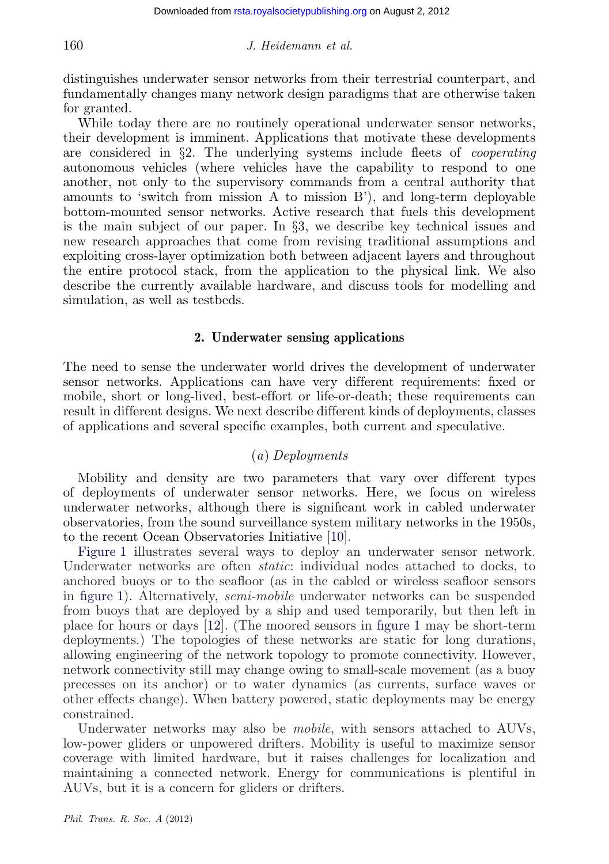distinguishes underwater sensor networks from their terrestrial counterpart, and fundamentally changes many network design paradigms that are otherwise taken for granted.

While today there are no routinely operational underwater sensor networks, their development is imminent. Applications that motivate these developments are considered in §2. The underlying systems include fleets of *cooperating* autonomous vehicles (where vehicles have the capability to respond to one another, not only to the supervisory commands from a central authority that amounts to 'switch from mission A to mission B'), and long-term deployable bottom-mounted sensor networks. Active research that fuels this development is the main subject of our paper. In §3, we describe key technical issues and new research approaches that come from revising traditional assumptions and exploiting cross-layer optimization both between adjacent layers and throughout the entire protocol stack, from the application to the physical link. We also describe the currently available hardware, and discuss tools for modelling and simulation, as well as testbeds.

# **2. Underwater sensing applications**

The need to sense the underwater world drives the development of underwater sensor networks. Applications can have very different requirements: fixed or mobile, short or long-lived, best-effort or life-or-death; these requirements can result in different designs. We next describe different kinds of deployments, classes of applications and several specific examples, both current and speculative.

# (*a*) *Deployments*

Mobility and density are two parameters that vary over different types of deployments of underwater sensor networks. Here, we focus on wireless underwater networks, although there is significant work in cabled underwater observatories, from the sound surveillance system military networks in the 1950s, to the recent Ocean Observatories Initiative [\[10\]](#page-16-0).

[Figure 1](#page-4-0) illustrates several ways to deploy an underwater sensor network. Underwater networks are often *static*: individual nodes attached to docks, to anchored buoys or to the seafloor (as in the cabled or wireless seafloor sensors in [figure 1\)](#page-4-0). Alternatively, *semi-mobile* underwater networks can be suspended from buoys that are deployed by a ship and used temporarily, but then left in place for hours or days [\[12\]](#page-16-0). (The moored sensors in [figure 1](#page-4-0) may be short-term deployments.) The topologies of these networks are static for long durations, allowing engineering of the network topology to promote connectivity. However, network connectivity still may change owing to small-scale movement (as a buoy precesses on its anchor) or to water dynamics (as currents, surface waves or other effects change). When battery powered, static deployments may be energy constrained.

Underwater networks may also be *mobile*, with sensors attached to AUVs, low-power gliders or unpowered drifters. Mobility is useful to maximize sensor coverage with limited hardware, but it raises challenges for localization and maintaining a connected network. Energy for communications is plentiful in AUVs, but it is a concern for gliders or drifters.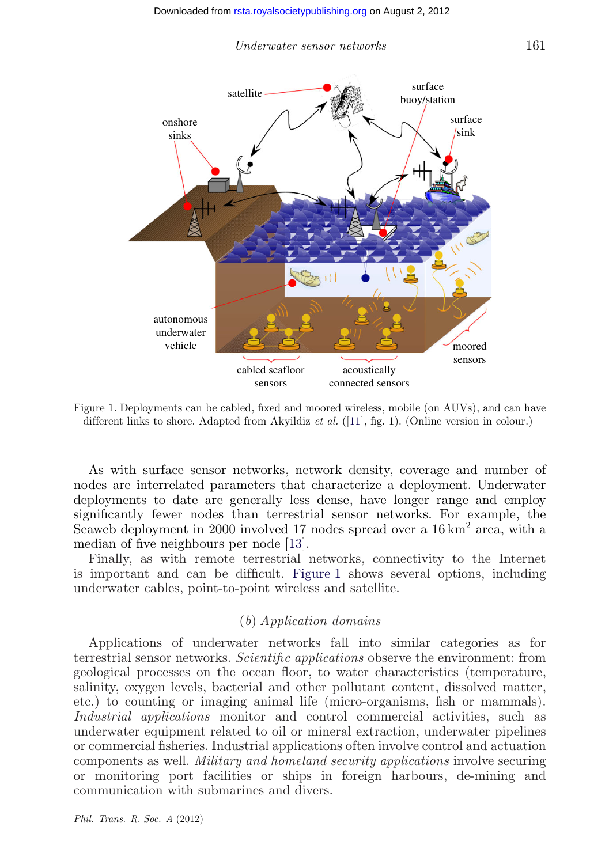<span id="page-4-0"></span>

Figure 1. Deployments can be cabled, fixed and moored wireless, mobile (on AUVs), and can have different links to shore. Adapted from Akyildiz *et al.* ([\[11\]](#page-16-0), fig. 1). (Online version in colour.)

As with surface sensor networks, network density, coverage and number of nodes are interrelated parameters that characterize a deployment. Underwater deployments to date are generally less dense, have longer range and employ significantly fewer nodes than terrestrial sensor networks. For example, the Seaweb deployment in 2000 involved 17 nodes spread over a  $16 \text{ km}^2$  area, with a median of five neighbours per node [\[13\]](#page-16-0).

Finally, as with remote terrestrial networks, connectivity to the Internet is important and can be difficult. Figure 1 shows several options, including underwater cables, point-to-point wireless and satellite.

## (*b*) *Application domains*

Applications of underwater networks fall into similar categories as for terrestrial sensor networks. *Scientific applications* observe the environment: from geological processes on the ocean floor, to water characteristics (temperature, salinity, oxygen levels, bacterial and other pollutant content, dissolved matter, etc.) to counting or imaging animal life (micro-organisms, fish or mammals). *Industrial applications* monitor and control commercial activities, such as underwater equipment related to oil or mineral extraction, underwater pipelines or commercial fisheries. Industrial applications often involve control and actuation components as well. *Military and homeland security applications* involve securing or monitoring port facilities or ships in foreign harbours, de-mining and communication with submarines and divers.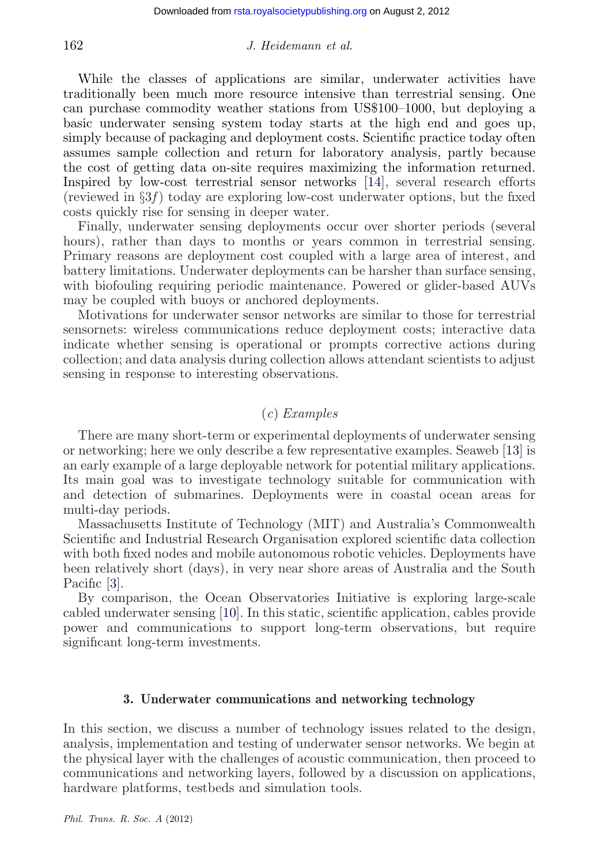While the classes of applications are similar, underwater activities have traditionally been much more resource intensive than terrestrial sensing. One can purchase commodity weather stations from US\$100–1000, but deploying a basic underwater sensing system today starts at the high end and goes up, simply because of packaging and deployment costs. Scientific practice today often assumes sample collection and return for laboratory analysis, partly because the cost of getting data on-site requires maximizing the information returned. Inspired by low-cost terrestrial sensor networks [\[14\]](#page-16-0), several research efforts (reviewed in  $\S3f$ ) today are exploring low-cost underwater options, but the fixed costs quickly rise for sensing in deeper water.

Finally, underwater sensing deployments occur over shorter periods (several hours), rather than days to months or years common in terrestrial sensing. Primary reasons are deployment cost coupled with a large area of interest, and battery limitations. Underwater deployments can be harsher than surface sensing, with biofouling requiring periodic maintenance. Powered or glider-based AUVs may be coupled with buoys or anchored deployments.

Motivations for underwater sensor networks are similar to those for terrestrial sensornets: wireless communications reduce deployment costs; interactive data indicate whether sensing is operational or prompts corrective actions during collection; and data analysis during collection allows attendant scientists to adjust sensing in response to interesting observations.

## (*c*) *Examples*

There are many short-term or experimental deployments of underwater sensing or networking; here we only describe a few representative examples. Seaweb [\[13\]](#page-16-0) is an early example of a large deployable network for potential military applications. Its main goal was to investigate technology suitable for communication with and detection of submarines. Deployments were in coastal ocean areas for multi-day periods.

Massachusetts Institute of Technology (MIT) and Australia's Commonwealth Scientific and Industrial Research Organisation explored scientific data collection with both fixed nodes and mobile autonomous robotic vehicles. Deployments have been relatively short (days), in very near shore areas of Australia and the South Pacific [\[3\]](#page-16-0).

By comparison, the Ocean Observatories Initiative is exploring large-scale cabled underwater sensing [\[10\]](#page-16-0). In this static, scientific application, cables provide power and communications to support long-term observations, but require significant long-term investments.

### **3. Underwater communications and networking technology**

In this section, we discuss a number of technology issues related to the design, analysis, implementation and testing of underwater sensor networks. We begin at the physical layer with the challenges of acoustic communication, then proceed to communications and networking layers, followed by a discussion on applications, hardware platforms, testbeds and simulation tools.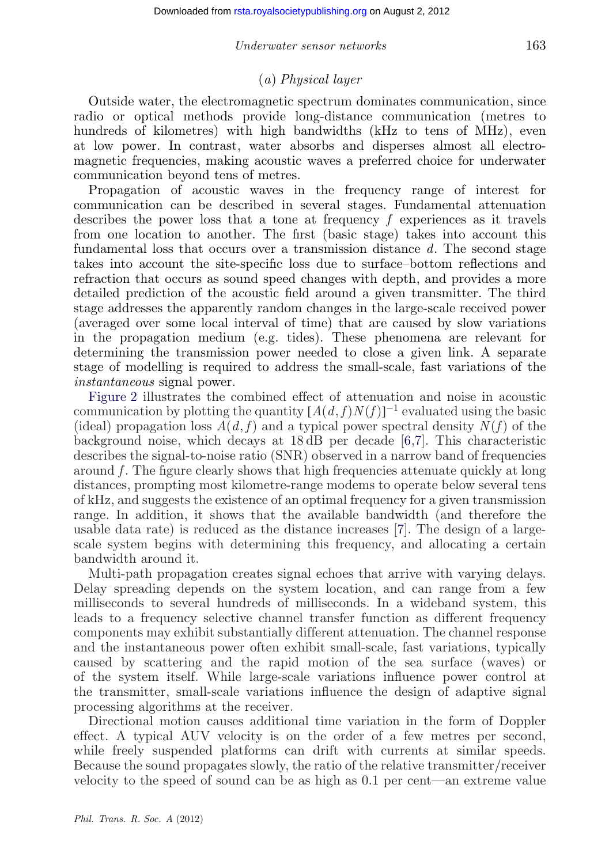## (*a*) *Physical layer*

Outside water, the electromagnetic spectrum dominates communication, since radio or optical methods provide long-distance communication (metres to hundreds of kilometres) with high bandwidths (kHz to tens of MHz), even at low power. In contrast, water absorbs and disperses almost all electromagnetic frequencies, making acoustic waves a preferred choice for underwater communication beyond tens of metres.

Propagation of acoustic waves in the frequency range of interest for communication can be described in several stages. Fundamental attenuation describes the power loss that a tone at frequency *f* experiences as it travels from one location to another. The first (basic stage) takes into account this fundamental loss that occurs over a transmission distance *d*. The second stage takes into account the site-specific loss due to surface–bottom reflections and refraction that occurs as sound speed changes with depth, and provides a more detailed prediction of the acoustic field around a given transmitter. The third stage addresses the apparently random changes in the large-scale received power (averaged over some local interval of time) that are caused by slow variations in the propagation medium (e.g. tides). These phenomena are relevant for determining the transmission power needed to close a given link. A separate stage of modelling is required to address the small-scale, fast variations of the *instantaneous* signal power.

[Figure 2](#page-7-0) illustrates the combined effect of attenuation and noise in acoustic communication by plotting the quantity  $[A(d, f)N(f)]^{-1}$  evaluated using the basic (ideal) propagation loss  $A(d, f)$  and a typical power spectral density  $N(f)$  of the background noise, which decays at 18 dB per decade [\[6,7\]](#page-16-0). This characteristic describes the signal-to-noise ratio (SNR) observed in a narrow band of frequencies around f. The figure clearly shows that high frequencies attenuate quickly at long distances, prompting most kilometre-range modems to operate below several tens of kHz, and suggests the existence of an optimal frequency for a given transmission range. In addition, it shows that the available bandwidth (and therefore the usable data rate) is reduced as the distance increases [\[7\]](#page-16-0). The design of a largescale system begins with determining this frequency, and allocating a certain bandwidth around it.

Multi-path propagation creates signal echoes that arrive with varying delays. Delay spreading depends on the system location, and can range from a few milliseconds to several hundreds of milliseconds. In a wideband system, this leads to a frequency selective channel transfer function as different frequency components may exhibit substantially different attenuation. The channel response and the instantaneous power often exhibit small-scale, fast variations, typically caused by scattering and the rapid motion of the sea surface (waves) or of the system itself. While large-scale variations influence power control at the transmitter, small-scale variations influence the design of adaptive signal processing algorithms at the receiver.

Directional motion causes additional time variation in the form of Doppler effect. A typical AUV velocity is on the order of a few metres per second, while freely suspended platforms can drift with currents at similar speeds. Because the sound propagates slowly, the ratio of the relative transmitter/receiver velocity to the speed of sound can be as high as 0.1 per cent—an extreme value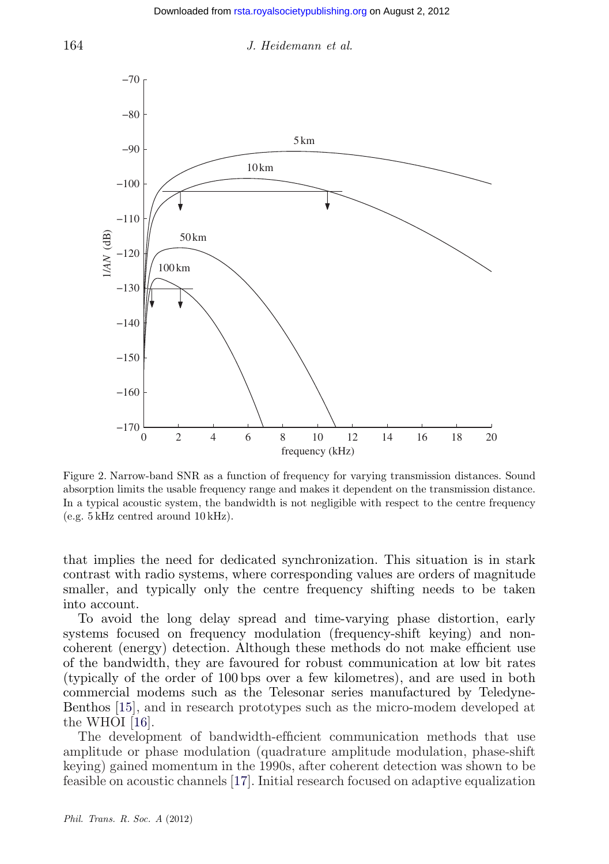<span id="page-7-0"></span>



Figure 2. Narrow-band SNR as a function of frequency for varying transmission distances. Sound absorption limits the usable frequency range and makes it dependent on the transmission distance. In a typical acoustic system, the bandwidth is not negligible with respect to the centre frequency (e.g. 5 kHz centred around 10 kHz).

that implies the need for dedicated synchronization. This situation is in stark contrast with radio systems, where corresponding values are orders of magnitude smaller, and typically only the centre frequency shifting needs to be taken into account.

To avoid the long delay spread and time-varying phase distortion, early systems focused on frequency modulation (frequency-shift keying) and noncoherent (energy) detection. Although these methods do not make efficient use of the bandwidth, they are favoured for robust communication at low bit rates (typically of the order of 100 bps over a few kilometres), and are used in both commercial modems such as the Telesonar series manufactured by Teledyne-Benthos [\[15\]](#page-16-0), and in research prototypes such as the micro-modem developed at the WHOI [\[16\]](#page-16-0).

The development of bandwidth-efficient communication methods that use amplitude or phase modulation (quadrature amplitude modulation, phase-shift keying) gained momentum in the 1990s, after coherent detection was shown to be feasible on acoustic channels [\[17\]](#page-16-0). Initial research focused on adaptive equalization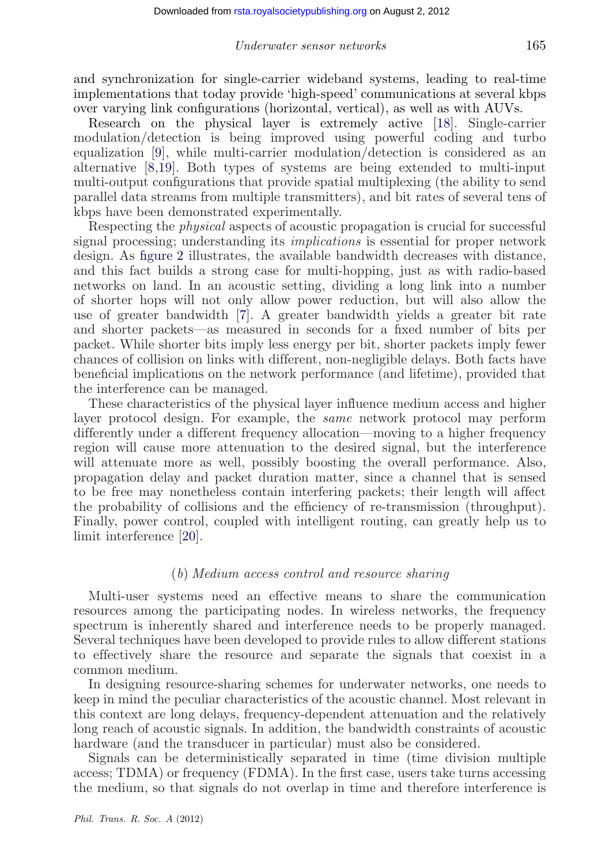and synchronization for single-carrier wideband systems, leading to real-time implementations that today provide 'high-speed' communications at several kbps over varying link configurations (horizontal, vertical), as well as with AUVs.

Research on the physical layer is extremely active [\[18\]](#page-16-0). Single-carrier modulation/detection is being improved using powerful coding and turbo equalization [\[9\]](#page-16-0), while multi-carrier modulation/detection is considered as an alternative [\[8,19\]](#page-16-0). Both types of systems are being extended to multi-input multi-output configurations that provide spatial multiplexing (the ability to send parallel data streams from multiple transmitters), and bit rates of several tens of kbps have been demonstrated experimentally.

Respecting the *physical* aspects of acoustic propagation is crucial for successful signal processing; understanding its *implications* is essential for proper network design. As [figure 2](#page-7-0) illustrates, the available bandwidth decreases with distance, and this fact builds a strong case for multi-hopping, just as with radio-based networks on land. In an acoustic setting, dividing a long link into a number of shorter hops will not only allow power reduction, but will also allow the use of greater bandwidth [\[7\]](#page-16-0). A greater bandwidth yields a greater bit rate and shorter packets—as measured in seconds for a fixed number of bits per packet. While shorter bits imply less energy per bit, shorter packets imply fewer chances of collision on links with different, non-negligible delays. Both facts have beneficial implications on the network performance (and lifetime), provided that the interference can be managed.

These characteristics of the physical layer influence medium access and higher layer protocol design. For example, the *same* network protocol may perform differently under a different frequency allocation—moving to a higher frequency region will cause more attenuation to the desired signal, but the interference will attenuate more as well, possibly boosting the overall performance. Also, propagation delay and packet duration matter, since a channel that is sensed to be free may nonetheless contain interfering packets; their length will affect the probability of collisions and the efficiency of re-transmission (throughput). Finally, power control, coupled with intelligent routing, can greatly help us to limit interference [\[20\]](#page-16-0).

#### (*b*) *Medium access control and resource sharing*

Multi-user systems need an effective means to share the communication resources among the participating nodes. In wireless networks, the frequency spectrum is inherently shared and interference needs to be properly managed. Several techniques have been developed to provide rules to allow different stations to effectively share the resource and separate the signals that coexist in a common medium.

In designing resource-sharing schemes for underwater networks, one needs to keep in mind the peculiar characteristics of the acoustic channel. Most relevant in this context are long delays, frequency-dependent attenuation and the relatively long reach of acoustic signals. In addition, the bandwidth constraints of acoustic hardware (and the transducer in particular) must also be considered.

Signals can be deterministically separated in time (time division multiple access; TDMA) or frequency (FDMA). In the first case, users take turns accessing the medium, so that signals do not overlap in time and therefore interference is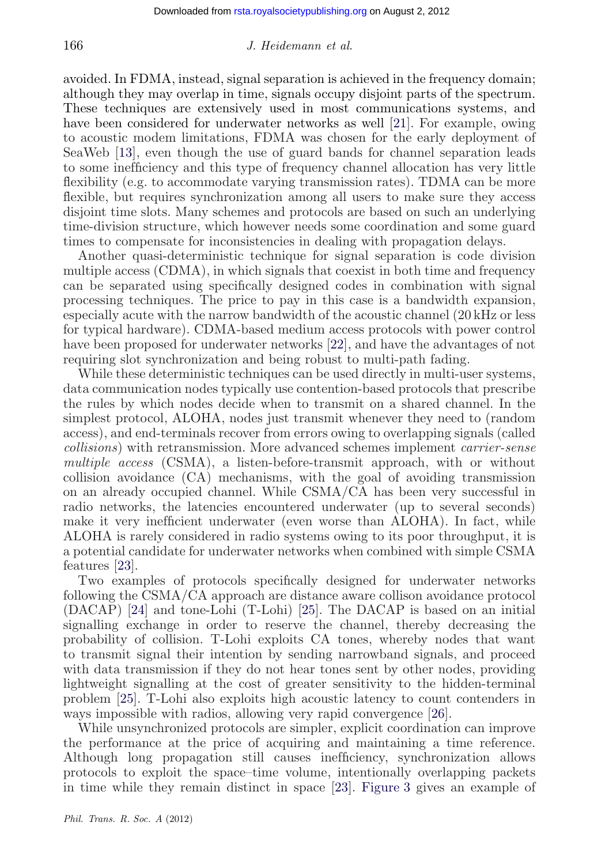avoided. In FDMA, instead, signal separation is achieved in the frequency domain; although they may overlap in time, signals occupy disjoint parts of the spectrum. These techniques are extensively used in most communications systems, and have been considered for underwater networks as well [\[21\]](#page-16-0). For example, owing to acoustic modem limitations, FDMA was chosen for the early deployment of SeaWeb [\[13\]](#page-16-0), even though the use of guard bands for channel separation leads to some inefficiency and this type of frequency channel allocation has very little flexibility (e.g. to accommodate varying transmission rates). TDMA can be more flexible, but requires synchronization among all users to make sure they access disjoint time slots. Many schemes and protocols are based on such an underlying time-division structure, which however needs some coordination and some guard times to compensate for inconsistencies in dealing with propagation delays.

Another quasi-deterministic technique for signal separation is code division multiple access (CDMA), in which signals that coexist in both time and frequency can be separated using specifically designed codes in combination with signal processing techniques. The price to pay in this case is a bandwidth expansion, especially acute with the narrow bandwidth of the acoustic channel (20 kHz or less for typical hardware). CDMA-based medium access protocols with power control have been proposed for underwater networks [\[22\]](#page-17-0), and have the advantages of not requiring slot synchronization and being robust to multi-path fading.

While these deterministic techniques can be used directly in multi-user systems, data communication nodes typically use contention-based protocols that prescribe the rules by which nodes decide when to transmit on a shared channel. In the simplest protocol, ALOHA, nodes just transmit whenever they need to (random access), and end-terminals recover from errors owing to overlapping signals (called *collisions*) with retransmission. More advanced schemes implement *carrier-sense multiple access* (CSMA), a listen-before-transmit approach, with or without collision avoidance (CA) mechanisms, with the goal of avoiding transmission on an already occupied channel. While CSMA/CA has been very successful in radio networks, the latencies encountered underwater (up to several seconds) make it very inefficient underwater (even worse than ALOHA). In fact, while ALOHA is rarely considered in radio systems owing to its poor throughput, it is a potential candidate for underwater networks when combined with simple CSMA features [\[23\]](#page-17-0).

Two examples of protocols specifically designed for underwater networks following the CSMA/CA approach are distance aware collison avoidance protocol (DACAP) [\[24\]](#page-17-0) and tone-Lohi (T-Lohi) [\[25\]](#page-17-0). The DACAP is based on an initial signalling exchange in order to reserve the channel, thereby decreasing the probability of collision. T-Lohi exploits CA tones, whereby nodes that want to transmit signal their intention by sending narrowband signals, and proceed with data transmission if they do not hear tones sent by other nodes, providing lightweight signalling at the cost of greater sensitivity to the hidden-terminal problem [\[25\]](#page-17-0). T-Lohi also exploits high acoustic latency to count contenders in ways impossible with radios, allowing very rapid convergence [\[26\]](#page-17-0).

While unsynchronized protocols are simpler, explicit coordination can improve the performance at the price of acquiring and maintaining a time reference. Although long propagation still causes inefficiency, synchronization allows protocols to exploit the space–time volume, intentionally overlapping packets in time while they remain distinct in space [\[23\]](#page-17-0). [Figure 3](#page-10-0) gives an example of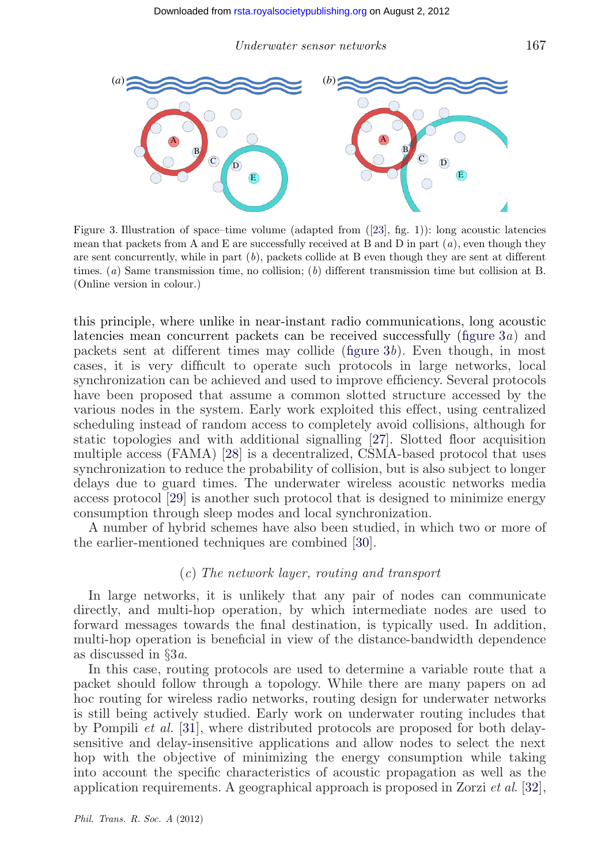<span id="page-10-0"></span>

Figure 3. Illustration of space–time volume (adapted from ([\[23\]](#page-17-0), fig. 1)): long acoustic latencies mean that packets from A and E are successfully received at B and D in part (*a*), even though they are sent concurrently, while in part  $(b)$ , packets collide at B even though they are sent at different times. (*a*) Same transmission time, no collision; (*b*) different transmission time but collision at B. (Online version in colour.)

this principle, where unlike in near-instant radio communications, long acoustic latencies mean concurrent packets can be received successfully (figure 3*a*) and packets sent at different times may collide (figure 3*b*). Even though, in most cases, it is very difficult to operate such protocols in large networks, local synchronization can be achieved and used to improve efficiency. Several protocols have been proposed that assume a common slotted structure accessed by the various nodes in the system. Early work exploited this effect, using centralized scheduling instead of random access to completely avoid collisions, although for static topologies and with additional signalling [\[27\]](#page-17-0). Slotted floor acquisition multiple access (FAMA) [\[28\]](#page-17-0) is a decentralized, CSMA-based protocol that uses synchronization to reduce the probability of collision, but is also subject to longer delays due to guard times. The underwater wireless acoustic networks media access protocol [\[29\]](#page-17-0) is another such protocol that is designed to minimize energy consumption through sleep modes and local synchronization.

A number of hybrid schemes have also been studied, in which two or more of the earlier-mentioned techniques are combined [\[30\]](#page-17-0).

#### (*c*) *The network layer, routing and transport*

In large networks, it is unlikely that any pair of nodes can communicate directly, and multi-hop operation, by which intermediate nodes are used to forward messages towards the final destination, is typically used. In addition, multi-hop operation is beneficial in view of the distance-bandwidth dependence as discussed in §3*a*.

In this case, routing protocols are used to determine a variable route that a packet should follow through a topology. While there are many papers on ad hoc routing for wireless radio networks, routing design for underwater networks is still being actively studied. Early work on underwater routing includes that by Pompili *et al.* [\[31\]](#page-17-0), where distributed protocols are proposed for both delaysensitive and delay-insensitive applications and allow nodes to select the next hop with the objective of minimizing the energy consumption while taking into account the specific characteristics of acoustic propagation as well as the application requirements. A geographical approach is proposed in Zorzi *et al*. [\[32\]](#page-17-0),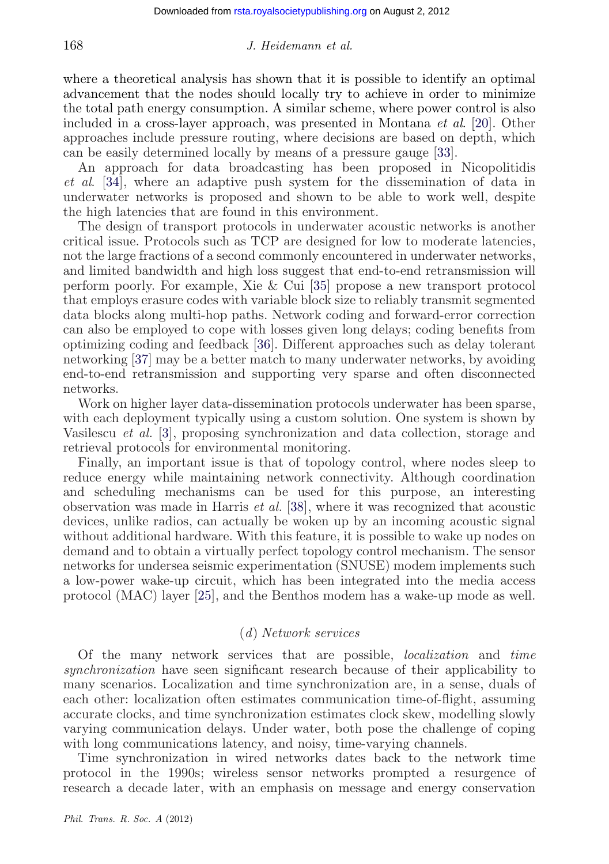where a theoretical analysis has shown that it is possible to identify an optimal advancement that the nodes should locally try to achieve in order to minimize the total path energy consumption. A similar scheme, where power control is also included in a cross-layer approach, was presented in Montana *et al*. [\[20\]](#page-16-0). Other approaches include pressure routing, where decisions are based on depth, which can be easily determined locally by means of a pressure gauge [\[33\]](#page-17-0).

An approach for data broadcasting has been proposed in Nicopolitidis *et al*. [\[34\]](#page-17-0), where an adaptive push system for the dissemination of data in underwater networks is proposed and shown to be able to work well, despite the high latencies that are found in this environment.

The design of transport protocols in underwater acoustic networks is another critical issue. Protocols such as TCP are designed for low to moderate latencies, not the large fractions of a second commonly encountered in underwater networks, and limited bandwidth and high loss suggest that end-to-end retransmission will perform poorly. For example, Xie & Cui [\[35\]](#page-17-0) propose a new transport protocol that employs erasure codes with variable block size to reliably transmit segmented data blocks along multi-hop paths. Network coding and forward-error correction can also be employed to cope with losses given long delays; coding benefits from optimizing coding and feedback [\[36\]](#page-17-0). Different approaches such as delay tolerant networking [\[37\]](#page-17-0) may be a better match to many underwater networks, by avoiding end-to-end retransmission and supporting very sparse and often disconnected networks.

Work on higher layer data-dissemination protocols underwater has been sparse, with each deployment typically using a custom solution. One system is shown by Vasilescu *et al.* [\[3\]](#page-16-0), proposing synchronization and data collection, storage and retrieval protocols for environmental monitoring.

Finally, an important issue is that of topology control, where nodes sleep to reduce energy while maintaining network connectivity. Although coordination and scheduling mechanisms can be used for this purpose, an interesting observation was made in Harris *et al.* [\[38\]](#page-17-0), where it was recognized that acoustic devices, unlike radios, can actually be woken up by an incoming acoustic signal without additional hardware. With this feature, it is possible to wake up nodes on demand and to obtain a virtually perfect topology control mechanism. The sensor networks for undersea seismic experimentation (SNUSE) modem implements such a low-power wake-up circuit, which has been integrated into the media access protocol (MAC) layer [\[25\]](#page-17-0), and the Benthos modem has a wake-up mode as well.

## (*d*) *Network services*

Of the many network services that are possible, *localization* and *time synchronization* have seen significant research because of their applicability to many scenarios. Localization and time synchronization are, in a sense, duals of each other: localization often estimates communication time-of-flight, assuming accurate clocks, and time synchronization estimates clock skew, modelling slowly varying communication delays. Under water, both pose the challenge of coping with long communications latency, and noisy, time-varying channels.

Time synchronization in wired networks dates back to the network time protocol in the 1990s; wireless sensor networks prompted a resurgence of research a decade later, with an emphasis on message and energy conservation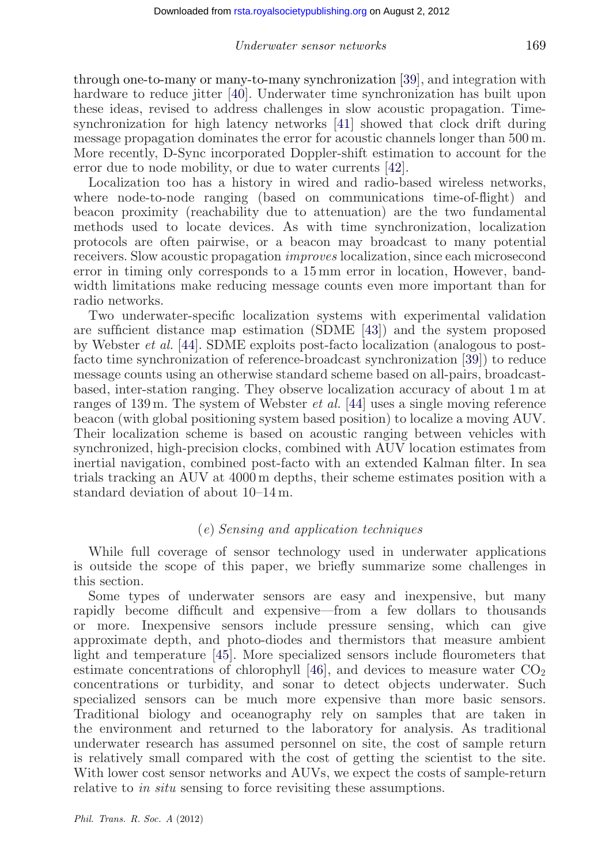through one-to-many or many-to-many synchronization [\[39\]](#page-17-0), and integration with hardware to reduce jitter [\[40\]](#page-17-0). Underwater time synchronization has built upon these ideas, revised to address challenges in slow acoustic propagation. Timesynchronization for high latency networks [\[41\]](#page-18-0) showed that clock drift during message propagation dominates the error for acoustic channels longer than 500 m. More recently, D-Sync incorporated Doppler-shift estimation to account for the error due to node mobility, or due to water currents [\[42\]](#page-18-0).

Localization too has a history in wired and radio-based wireless networks, where node-to-node ranging (based on communications time-of-flight) and beacon proximity (reachability due to attenuation) are the two fundamental methods used to locate devices. As with time synchronization, localization protocols are often pairwise, or a beacon may broadcast to many potential receivers. Slow acoustic propagation *improves* localization, since each microsecond error in timing only corresponds to a 15 mm error in location, However, bandwidth limitations make reducing message counts even more important than for radio networks.

Two underwater-specific localization systems with experimental validation are sufficient distance map estimation (SDME [\[43\]](#page-18-0)) and the system proposed by Webster *et al.* [\[44\]](#page-18-0). SDME exploits post-facto localization (analogous to postfacto time synchronization of reference-broadcast synchronization [\[39\]](#page-17-0)) to reduce message counts using an otherwise standard scheme based on all-pairs, broadcastbased, inter-station ranging. They observe localization accuracy of about 1 m at ranges of 139 m. The system of Webster *et al.* [\[44\]](#page-18-0) uses a single moving reference beacon (with global positioning system based position) to localize a moving AUV. Their localization scheme is based on acoustic ranging between vehicles with synchronized, high-precision clocks, combined with AUV location estimates from inertial navigation, combined post-facto with an extended Kalman filter. In sea trials tracking an AUV at 4000 m depths, their scheme estimates position with a standard deviation of about 10–14 m.

#### (*e*) *Sensing and application techniques*

While full coverage of sensor technology used in underwater applications is outside the scope of this paper, we briefly summarize some challenges in this section.

Some types of underwater sensors are easy and inexpensive, but many rapidly become difficult and expensive—from a few dollars to thousands or more. Inexpensive sensors include pressure sensing, which can give approximate depth, and photo-diodes and thermistors that measure ambient light and temperature [\[45\]](#page-18-0). More specialized sensors include flourometers that estimate concentrations of chlorophyll [\[46\]](#page-18-0), and devices to measure water  $CO<sub>2</sub>$ concentrations or turbidity, and sonar to detect objects underwater. Such specialized sensors can be much more expensive than more basic sensors. Traditional biology and oceanography rely on samples that are taken in the environment and returned to the laboratory for analysis. As traditional underwater research has assumed personnel on site, the cost of sample return is relatively small compared with the cost of getting the scientist to the site. With lower cost sensor networks and AUVs, we expect the costs of sample-return relative to *in situ* sensing to force revisiting these assumptions.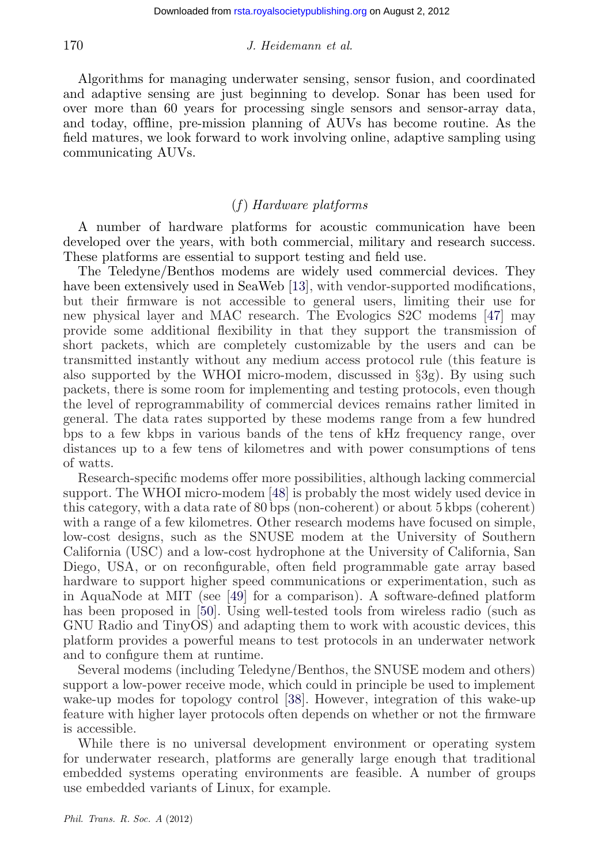Algorithms for managing underwater sensing, sensor fusion, and coordinated and adaptive sensing are just beginning to develop. Sonar has been used for over more than 60 years for processing single sensors and sensor-array data, and today, offline, pre-mission planning of AUVs has become routine. As the field matures, we look forward to work involving online, adaptive sampling using communicating AUVs.

# (*f*) *Hardware platforms*

A number of hardware platforms for acoustic communication have been developed over the years, with both commercial, military and research success. These platforms are essential to support testing and field use.

The Teledyne/Benthos modems are widely used commercial devices. They have been extensively used in SeaWeb [\[13\]](#page-16-0), with vendor-supported modifications, but their firmware is not accessible to general users, limiting their use for new physical layer and MAC research. The Evologics S2C modems [\[47\]](#page-18-0) may provide some additional flexibility in that they support the transmission of short packets, which are completely customizable by the users and can be transmitted instantly without any medium access protocol rule (this feature is also supported by the WHOI micro-modem, discussed in  $\S 3g$ ). By using such packets, there is some room for implementing and testing protocols, even though the level of reprogrammability of commercial devices remains rather limited in general. The data rates supported by these modems range from a few hundred bps to a few kbps in various bands of the tens of kHz frequency range, over distances up to a few tens of kilometres and with power consumptions of tens of watts.

Research-specific modems offer more possibilities, although lacking commercial support. The WHOI micro-modem [\[48\]](#page-18-0) is probably the most widely used device in this category, with a data rate of 80 bps (non-coherent) or about 5 kbps (coherent) with a range of a few kilometres. Other research modems have focused on simple, low-cost designs, such as the SNUSE modem at the University of Southern California (USC) and a low-cost hydrophone at the University of California, San Diego, USA, or on reconfigurable, often field programmable gate array based hardware to support higher speed communications or experimentation, such as in AquaNode at MIT (see [\[49\]](#page-18-0) for a comparison). A software-defined platform has been proposed in [\[50\]](#page-18-0). Using well-tested tools from wireless radio (such as GNU Radio and TinyOS) and adapting them to work with acoustic devices, this platform provides a powerful means to test protocols in an underwater network and to configure them at runtime.

Several modems (including Teledyne/Benthos, the SNUSE modem and others) support a low-power receive mode, which could in principle be used to implement wake-up modes for topology control [\[38\]](#page-17-0). However, integration of this wake-up feature with higher layer protocols often depends on whether or not the firmware is accessible.

While there is no universal development environment or operating system for underwater research, platforms are generally large enough that traditional embedded systems operating environments are feasible. A number of groups use embedded variants of Linux, for example.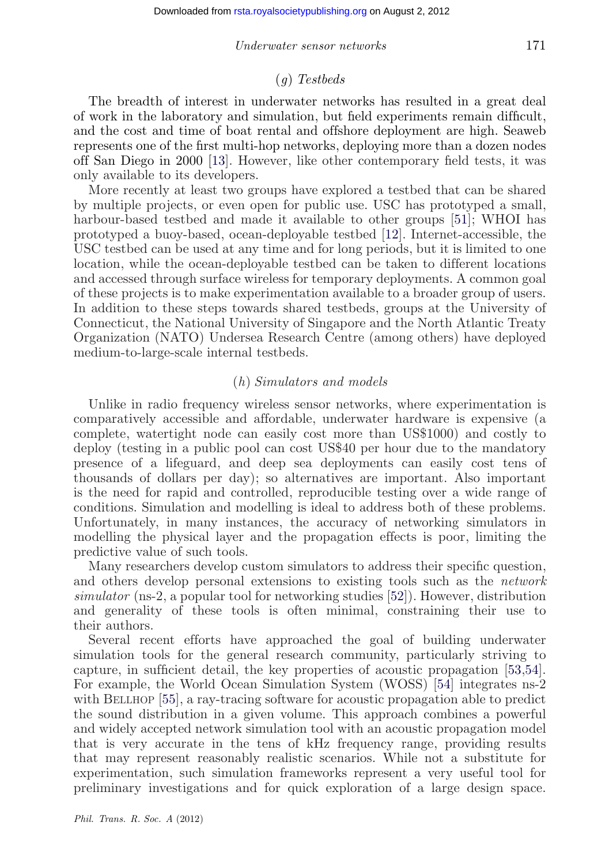# (*g*) *Testbeds*

The breadth of interest in underwater networks has resulted in a great deal of work in the laboratory and simulation, but field experiments remain difficult, and the cost and time of boat rental and offshore deployment are high. Seaweb represents one of the first multi-hop networks, deploying more than a dozen nodes off San Diego in 2000 [\[13\]](#page-16-0). However, like other contemporary field tests, it was only available to its developers.

More recently at least two groups have explored a testbed that can be shared by multiple projects, or even open for public use. USC has prototyped a small, harbour-based testbed and made it available to other groups [\[51\]](#page-18-0); WHOI has prototyped a buoy-based, ocean-deployable testbed [\[12\]](#page-16-0). Internet-accessible, the USC testbed can be used at any time and for long periods, but it is limited to one location, while the ocean-deployable testbed can be taken to different locations and accessed through surface wireless for temporary deployments. A common goal of these projects is to make experimentation available to a broader group of users. In addition to these steps towards shared testbeds, groups at the University of Connecticut, the National University of Singapore and the North Atlantic Treaty Organization (NATO) Undersea Research Centre (among others) have deployed medium-to-large-scale internal testbeds.

#### (*h*) *Simulators and models*

Unlike in radio frequency wireless sensor networks, where experimentation is comparatively accessible and affordable, underwater hardware is expensive (a complete, watertight node can easily cost more than US\$1000) and costly to deploy (testing in a public pool can cost US\$40 per hour due to the mandatory presence of a lifeguard, and deep sea deployments can easily cost tens of thousands of dollars per day); so alternatives are important. Also important is the need for rapid and controlled, reproducible testing over a wide range of conditions. Simulation and modelling is ideal to address both of these problems. Unfortunately, in many instances, the accuracy of networking simulators in modelling the physical layer and the propagation effects is poor, limiting the predictive value of such tools.

Many researchers develop custom simulators to address their specific question, and others develop personal extensions to existing tools such as the *network simulator* (ns-2, a popular tool for networking studies [\[52\]](#page-18-0)). However, distribution and generality of these tools is often minimal, constraining their use to their authors.

Several recent efforts have approached the goal of building underwater simulation tools for the general research community, particularly striving to capture, in sufficient detail, the key properties of acoustic propagation [\[53,54\]](#page-18-0). For example, the World Ocean Simulation System (WOSS) [\[54\]](#page-18-0) integrates ns-2 with BELLHOP [\[55\]](#page-18-0), a ray-tracing software for acoustic propagation able to predict the sound distribution in a given volume. This approach combines a powerful and widely accepted network simulation tool with an acoustic propagation model that is very accurate in the tens of kHz frequency range, providing results that may represent reasonably realistic scenarios. While not a substitute for experimentation, such simulation frameworks represent a very useful tool for preliminary investigations and for quick exploration of a large design space.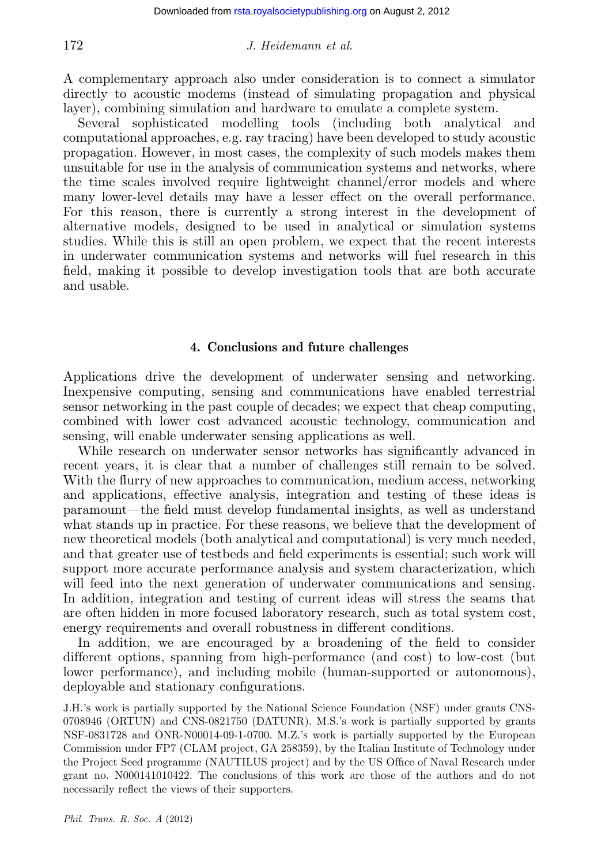A complementary approach also under consideration is to connect a simulator directly to acoustic modems (instead of simulating propagation and physical layer), combining simulation and hardware to emulate a complete system.

Several sophisticated modelling tools (including both analytical and computational approaches, e.g. ray tracing) have been developed to study acoustic propagation. However, in most cases, the complexity of such models makes them unsuitable for use in the analysis of communication systems and networks, where the time scales involved require lightweight channel/error models and where many lower-level details may have a lesser effect on the overall performance. For this reason, there is currently a strong interest in the development of alternative models, designed to be used in analytical or simulation systems studies. While this is still an open problem, we expect that the recent interests in underwater communication systems and networks will fuel research in this field, making it possible to develop investigation tools that are both accurate and usable.

#### **4. Conclusions and future challenges**

Applications drive the development of underwater sensing and networking. Inexpensive computing, sensing and communications have enabled terrestrial sensor networking in the past couple of decades; we expect that cheap computing, combined with lower cost advanced acoustic technology, communication and sensing, will enable underwater sensing applications as well.

While research on underwater sensor networks has significantly advanced in recent years, it is clear that a number of challenges still remain to be solved. With the flurry of new approaches to communication, medium access, networking and applications, effective analysis, integration and testing of these ideas is paramount—the field must develop fundamental insights, as well as understand what stands up in practice. For these reasons, we believe that the development of new theoretical models (both analytical and computational) is very much needed, and that greater use of testbeds and field experiments is essential; such work will support more accurate performance analysis and system characterization, which will feed into the next generation of underwater communications and sensing. In addition, integration and testing of current ideas will stress the seams that are often hidden in more focused laboratory research, such as total system cost, energy requirements and overall robustness in different conditions.

In addition, we are encouraged by a broadening of the field to consider different options, spanning from high-performance (and cost) to low-cost (but lower performance), and including mobile (human-supported or autonomous), deployable and stationary configurations.

J.H.'s work is partially supported by the National Science Foundation (NSF) under grants CNS-0708946 (ORTUN) and CNS-0821750 (DATUNR). M.S.'s work is partially supported by grants NSF-0831728 and ONR-N00014-09-1-0700. M.Z.'s work is partially supported by the European Commission under FP7 (CLAM project, GA 258359), by the Italian Institute of Technology under the Project Seed programme (NAUTILUS project) and by the US Office of Naval Research under grant no. N000141010422. The conclusions of this work are those of the authors and do not necessarily reflect the views of their supporters.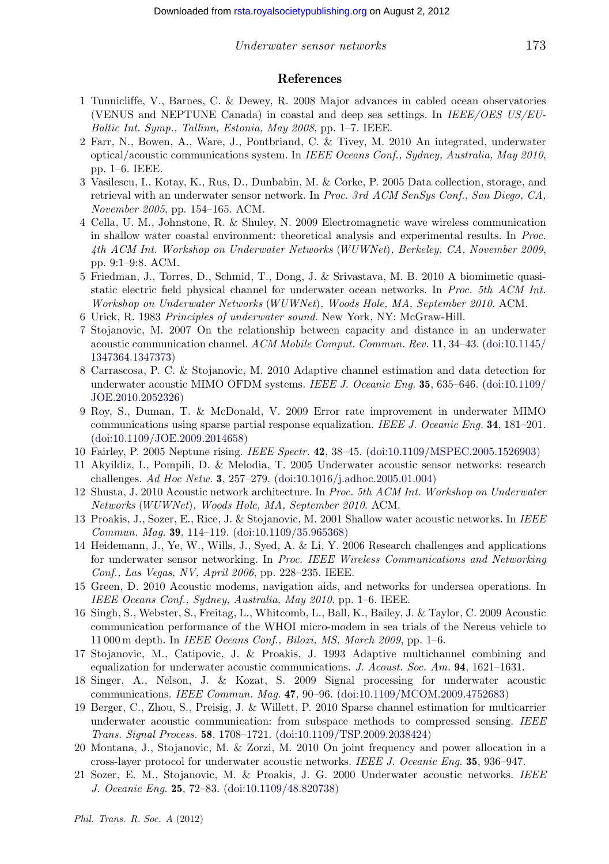### **References**

- <span id="page-16-0"></span>1 Tunnicliffe, V., Barnes, C. & Dewey, R. 2008 Major advances in cabled ocean observatories (VENUS and NEPTUNE Canada) in coastal and deep sea settings. In *IEEE/OES US/EU-Baltic Int. Symp., Tallinn, Estonia, May 2008*, pp. 1–7. IEEE.
- 2 Farr, N., Bowen, A., Ware, J., Pontbriand, C. & Tivey, M. 2010 An integrated, underwater optical/acoustic communications system. In *IEEE Oceans Conf., Sydney, Australia, May 2010*, pp. 1–6. IEEE.
- 3 Vasilescu, I., Kotay, K., Rus, D., Dunbabin, M. & Corke, P. 2005 Data collection, storage, and retrieval with an underwater sensor network. In *Proc. 3rd ACM SenSys Conf., San Diego, CA, November 2005*, pp. 154–165. ACM.
- 4 Cella, U. M., Johnstone, R. & Shuley, N. 2009 Electromagnetic wave wireless communication in shallow water coastal environment: theoretical analysis and experimental results. In *Proc. 4th ACM Int. Workshop on Underwater Networks* (*WUWNet*)*, Berkeley, CA, November 2009*, pp. 9:1–9:8. ACM.
- 5 Friedman, J., Torres, D., Schmid, T., Dong, J. & Srivastava, M. B. 2010 A biomimetic quasistatic electric field physical channel for underwater ocean networks. In *Proc. 5th ACM Int. Workshop on Underwater Networks* (*WUWNet*)*, Woods Hole, MA, September 2010.* ACM.
- 6 Urick, R. 1983 *Principles of underwater sound*. New York, NY: McGraw-Hill.
- 7 Stojanovic, M. 2007 On the relationship between capacity and distance in an underwater acoustic communication channel. *ACM Mobile Comput. Commun. Rev.* **11**, 34–43. [\(doi:10.1145/](http://dx.doi.org/doi:10.1145/1347364.1347373) [1347364.1347373\)](http://dx.doi.org/doi:10.1145/1347364.1347373)
- 8 Carrascosa, P. C. & Stojanovic, M. 2010 Adaptive channel estimation and data detection for underwater acoustic MIMO OFDM systems. *IEEE J. Oceanic Eng.* **35**, 635–646. [\(doi:10.1109/](http://dx.doi.org/doi:10.1109/JOE.2010.2052326) [JOE.2010.2052326\)](http://dx.doi.org/doi:10.1109/JOE.2010.2052326)
- 9 Roy, S., Duman, T. & McDonald, V. 2009 Error rate improvement in underwater MIMO communications using sparse partial response equalization. *IEEE J. Oceanic Eng.* **34**, 181–201. [\(doi:10.1109/JOE.2009.2014658\)](http://dx.doi.org/doi:10.1109/JOE.2009.2014658)
- 10 Fairley, P. 2005 Neptune rising. *IEEE Spectr.* **42**, 38–45. [\(doi:10.1109/MSPEC.2005.1526903\)](http://dx.doi.org/doi:10.1109/MSPEC.2005.1526903)
- 11 Akyildiz, I., Pompili, D. & Melodia, T. 2005 Underwater acoustic sensor networks: research challenges. *Ad Hoc Netw.* **3**, 257–279. [\(doi:10.1016/j.adhoc.2005.01.004\)](http://dx.doi.org/doi:10.1016/j.adhoc.2005.01.004)
- 12 Shusta, J. 2010 Acoustic network architecture. In *Proc. 5th ACM Int. Workshop on Underwater Networks* (*WUWNet*)*, Woods Hole, MA, September 2010*. ACM.
- 13 Proakis, J., Sozer, E., Rice, J. & Stojanovic, M. 2001 Shallow water acoustic networks. In *IEEE Commun. Mag.* **39**, 114–119. [\(doi:10.1109/35.965368\)](http://dx.doi.org/doi:10.1109/35.965368)
- 14 Heidemann, J., Ye, W., Wills, J., Syed, A. & Li, Y. 2006 Research challenges and applications for underwater sensor networking. In *Proc. IEEE Wireless Communications and Networking Conf., Las Vegas, NV, April 2006*, pp. 228–235. IEEE.
- 15 Green, D. 2010 Acoustic modems, navigation aids, and networks for undersea operations. In *IEEE Oceans Conf., Sydney, Australia, May 2010*, pp. 1–6. IEEE.
- 16 Singh, S., Webster, S., Freitag, L., Whitcomb, L., Ball, K., Bailey, J. & Taylor, C. 2009 Acoustic communication performance of the WHOI micro-modem in sea trials of the Nereus vehicle to 11 000 m depth. In *IEEE Oceans Conf., Biloxi, MS, March 2009*, pp. 1–6.
- 17 Stojanovic, M., Catipovic, J. & Proakis, J. 1993 Adaptive multichannel combining and equalization for underwater acoustic communications. *J. Acoust. Soc. Am.* **94**, 1621–1631.
- 18 Singer, A., Nelson, J. & Kozat, S. 2009 Signal processing for underwater acoustic communications. *IEEE Commun. Mag.* **47**, 90–96. [\(doi:10.1109/MCOM.2009.4752683\)](http://dx.doi.org/doi:10.1109/MCOM.2009.4752683)
- 19 Berger, C., Zhou, S., Preisig, J. & Willett, P. 2010 Sparse channel estimation for multicarrier underwater acoustic communication: from subspace methods to compressed sensing. *IEEE Trans. Signal Process.* **58**, 1708–1721. [\(doi:10.1109/TSP.2009.2038424\)](http://dx.doi.org/doi:10.1109/TSP.2009.2038424)
- 20 Montana, J., Stojanovic, M. & Zorzi, M. 2010 On joint frequency and power allocation in a cross-layer protocol for underwater acoustic networks. *IEEE J. Oceanic Eng.* **35**, 936–947.
- 21 Sozer, E. M., Stojanovic, M. & Proakis, J. G. 2000 Underwater acoustic networks. *IEEE J. Oceanic Eng.* **25**, 72–83. [\(doi:10.1109/48.820738\)](http://dx.doi.org/doi:10.1109/48.820738)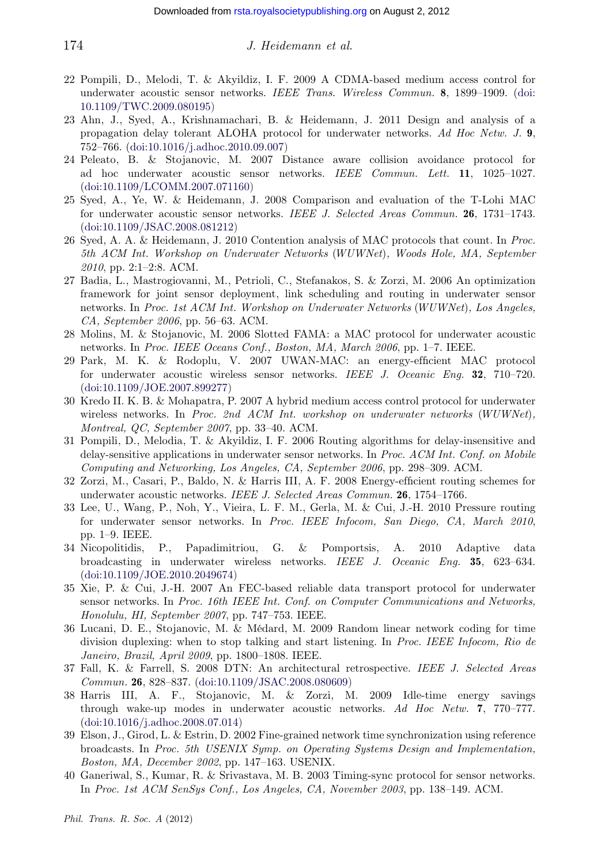- 22 Pompili, D., Melodi, T. & Akyildiz, I. F. 2009 A CDMA-based medium access control for underwater acoustic sensor networks. *IEEE Trans. Wireless Commun.* **8**, 1899–1909. [\(doi:](http://dx.doi.org/doi:10.1109/TWC.2009.080195) [10.1109/TWC.2009.080195\)](http://dx.doi.org/doi:10.1109/TWC.2009.080195)
- 23 Ahn, J., Syed, A., Krishnamachari, B. & Heidemann, J. 2011 Design and analysis of a propagation delay tolerant ALOHA protocol for underwater networks. *Ad Hoc Netw. J.* **9**, 752–766. [\(doi:10.1016/j.adhoc.2010.09.007\)](http://dx.doi.org/doi:10.1016/j.adhoc.2010.09.007)
- 24 Peleato, B. & Stojanovic, M. 2007 Distance aware collision avoidance protocol for ad hoc underwater acoustic sensor networks. *IEEE Commun. Lett.* **11**, 1025–1027. [\(doi:10.1109/LCOMM.2007.071160\)](http://dx.doi.org/doi:10.1109/LCOMM.2007.071160)
- 25 Syed, A., Ye, W. & Heidemann, J. 2008 Comparison and evaluation of the T-Lohi MAC for underwater acoustic sensor networks. *IEEE J. Selected Areas Commun.* **26**, 1731–1743. [\(doi:10.1109/JSAC.2008.081212\)](http://dx.doi.org/doi:10.1109/JSAC.2008.081212)
- 26 Syed, A. A. & Heidemann, J. 2010 Contention analysis of MAC protocols that count. In *Proc. 5th ACM Int. Workshop on Underwater Networks* (*WUWNet*)*, Woods Hole, MA, September 2010*, pp. 2:1–2:8. ACM.
- 27 Badia, L., Mastrogiovanni, M., Petrioli, C., Stefanakos, S. & Zorzi, M. 2006 An optimization framework for joint sensor deployment, link scheduling and routing in underwater sensor networks. In *Proc. 1st ACM Int. Workshop on Underwater Networks* (*WUWNet*)*, Los Angeles, CA, September 2006*, pp. 56–63. ACM.
- 28 Molins, M. & Stojanovic, M. 2006 Slotted FAMA: a MAC protocol for underwater acoustic networks. In *Proc. IEEE Oceans Conf., Boston, MA, March 2006*, pp. 1–7. IEEE.
- 29 Park, M. K. & Rodoplu, V. 2007 UWAN-MAC: an energy-efficient MAC protocol for underwater acoustic wireless sensor networks. *IEEE J. Oceanic Eng.* **32**, 710–720. [\(doi:10.1109/JOE.2007.899277\)](http://dx.doi.org/doi:10.1109/JOE.2007.899277)
- 30 Kredo II. K. B. & Mohapatra, P. 2007 A hybrid medium access control protocol for underwater wireless networks. In *Proc. 2nd ACM Int. workshop on underwater networks* (*WUWNet*)*, Montreal, QC, September 2007*, pp. 33–40. ACM.
- 31 Pompili, D., Melodia, T. & Akyildiz, I. F. 2006 Routing algorithms for delay-insensitive and delay-sensitive applications in underwater sensor networks. In *Proc. ACM Int. Conf. on Mobile Computing and Networking, Los Angeles, CA, September 2006*, pp. 298–309. ACM.
- 32 Zorzi, M., Casari, P., Baldo, N. & Harris III, A. F. 2008 Energy-efficient routing schemes for underwater acoustic networks. *IEEE J. Selected Areas Commun.* **26**, 1754–1766.
- 33 Lee, U., Wang, P., Noh, Y., Vieira, L. F. M., Gerla, M. & Cui, J.-H. 2010 Pressure routing for underwater sensor networks. In *Proc. IEEE Infocom, San Diego, CA, March 2010*, pp. 1–9. IEEE.
- 34 Nicopolitidis, P., Papadimitriou, G. & Pomportsis, A. 2010 Adaptive data broadcasting in underwater wireless networks. *IEEE J. Oceanic Eng.* **35**, 623–634. [\(doi:10.1109/JOE.2010.2049674\)](http://dx.doi.org/doi:10.1109/JOE.2010.2049674)
- 35 Xie, P. & Cui, J.-H. 2007 An FEC-based reliable data transport protocol for underwater sensor networks. In *Proc. 16th IEEE Int. Conf. on Computer Communications and Networks, Honolulu, HI, September 2007*, pp. 747–753. IEEE.
- 36 Lucani, D. E., Stojanovic, M. & Médard, M. 2009 Random linear network coding for time division duplexing: when to stop talking and start listening. In *Proc. IEEE Infocom, Rio de Janeiro, Brazil, April 2009*, pp. 1800–1808. IEEE.
- 37 Fall, K. & Farrell, S. 2008 DTN: An architectural retrospective. *IEEE J. Selected Areas Commun.* **26**, 828–837. [\(doi:10.1109/JSAC.2008.080609\)](http://dx.doi.org/doi:10.1109/JSAC.2008.080609)
- 38 Harris III, A. F., Stojanovic, M. & Zorzi, M. 2009 Idle-time energy savings through wake-up modes in underwater acoustic networks. *Ad Hoc Netw.* **7**, 770–777. [\(doi:10.1016/j.adhoc.2008.07.014\)](http://dx.doi.org/doi:10.1016/j.adhoc.2008.07.014)
- 39 Elson, J., Girod, L. & Estrin, D. 2002 Fine-grained network time synchronization using reference broadcasts. In *Proc. 5th USENIX Symp. on Operating Systems Design and Implementation, Boston, MA, December 2002*, pp. 147–163. USENIX.
- 40 Ganeriwal, S., Kumar, R. & Srivastava, M. B. 2003 Timing-sync protocol for sensor networks. In *Proc. 1st ACM SenSys Conf., Los Angeles, CA, November 2003*, pp. 138–149. ACM.

<span id="page-17-0"></span>